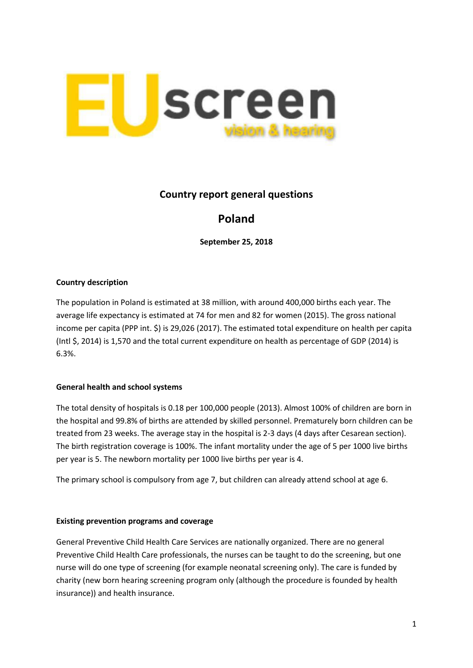

## **Country report general questions**

# **Poland**

**September 25, 2018**

### **Country description**

The population in Poland is estimated at 38 million, with around 400,000 births each year. The average life expectancy is estimated at 74 for men and 82 for women (2015). The gross national income per capita (PPP int. \$) is 29,026 (2017). The estimated total expenditure on health per capita (Intl \$, 2014) is 1,570 and the total current expenditure on health as percentage of GDP (2014) is 6.3%.

### **General health and school systems**

The total density of hospitals is 0.18 per 100,000 people (2013). Almost 100% of children are born in the hospital and 99.8% of births are attended by skilled personnel. Prematurely born children can be treated from 23 weeks. The average stay in the hospital is 2-3 days (4 days after Cesarean section). The birth registration coverage is 100%. The infant mortality under the age of 5 per 1000 live births per year is 5. The newborn mortality per 1000 live births per year is 4.

The primary school is compulsory from age 7, but children can already attend school at age 6.

### **Existing prevention programs and coverage**

General Preventive Child Health Care Services are nationally organized. There are no general Preventive Child Health Care professionals, the nurses can be taught to do the screening, but one nurse will do one type of screening (for example neonatal screening only). The care is funded by charity (new born hearing screening program only (although the procedure is founded by health insurance)) and health insurance.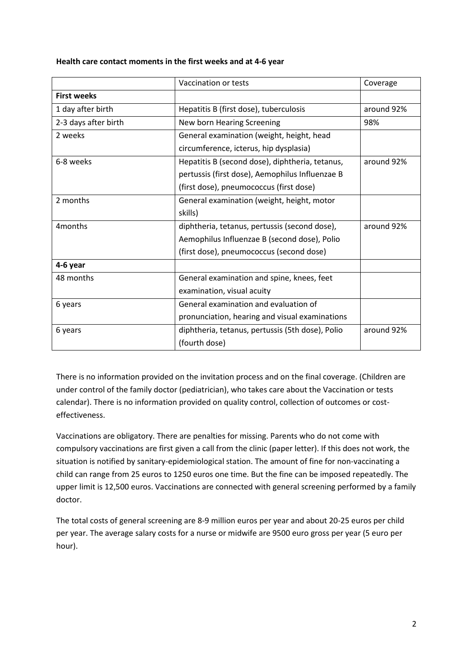| Health care contact moments in the first weeks and at 4-6 year |  |  |
|----------------------------------------------------------------|--|--|
|----------------------------------------------------------------|--|--|

|                      | Vaccination or tests                             | Coverage   |
|----------------------|--------------------------------------------------|------------|
| <b>First weeks</b>   |                                                  |            |
| 1 day after birth    | Hepatitis B (first dose), tuberculosis           | around 92% |
| 2-3 days after birth | New born Hearing Screening                       | 98%        |
| 2 weeks              | General examination (weight, height, head        |            |
|                      | circumference, icterus, hip dysplasia)           |            |
| 6-8 weeks            | Hepatitis B (second dose), diphtheria, tetanus,  | around 92% |
|                      | pertussis (first dose), Aemophilus Influenzae B  |            |
|                      | (first dose), pneumococcus (first dose)          |            |
| 2 months             | General examination (weight, height, motor       |            |
|                      | skills)                                          |            |
| 4 <sub>months</sub>  | diphtheria, tetanus, pertussis (second dose),    | around 92% |
|                      | Aemophilus Influenzae B (second dose), Polio     |            |
|                      | (first dose), pneumococcus (second dose)         |            |
| 4-6 year             |                                                  |            |
| 48 months            | General examination and spine, knees, feet       |            |
|                      | examination, visual acuity                       |            |
| 6 years              | General examination and evaluation of            |            |
|                      | pronunciation, hearing and visual examinations   |            |
| 6 years              | diphtheria, tetanus, pertussis (5th dose), Polio | around 92% |
|                      | (fourth dose)                                    |            |

There is no information provided on the invitation process and on the final coverage. (Children are under control of the family doctor (pediatrician), who takes care about the Vaccination or tests calendar). There is no information provided on quality control, collection of outcomes or costeffectiveness.

Vaccinations are obligatory. There are penalties for missing. Parents who do not come with compulsory vaccinations are first given a call from the clinic (paper letter). If this does not work, the situation is notified by sanitary-epidemiological station. The amount of fine for non-vaccinating a child can range from 25 euros to 1250 euros one time. But the fine can be imposed repeatedly. The upper limit is 12,500 euros. Vaccinations are connected with general screening performed by a family doctor.

The total costs of general screening are 8-9 million euros per year and about 20-25 euros per child per year. The average salary costs for a nurse or midwife are 9500 euro gross per year (5 euro per hour).